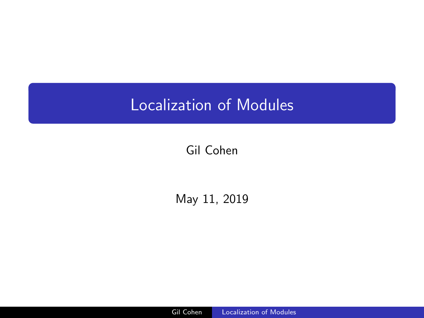# <span id="page-0-0"></span>Localization of Modules

# Gil Cohen

May 11, 2019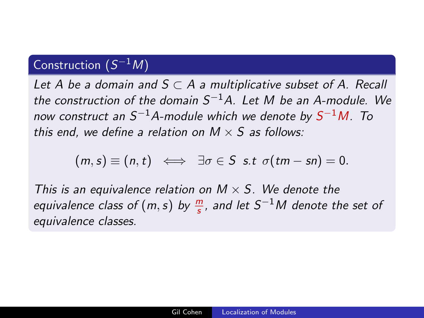# Construction  $(S^{-1}M)$

Let A be a domain and  $S \subset A$  a multiplicative subset of A. Recall the construction of the domain  $S^{-1}A$ . Let M be an A-module. We now construct an  $S^{-1}A$ -module which we denote by  $S^{-1}M$ . To this end, we define a relation on  $M \times S$  as follows:

$$
(m, s) \equiv (n, t) \iff \exists \sigma \in S \text{ s.t } \sigma(tm - sn) = 0.
$$

This is an equivalence relation on  $M \times S$ . We denote the equivalence class of  $(m,s)$  by  $\frac{m}{s}$ , and let  $S^{-1}M$  denote the set of equivalence classes.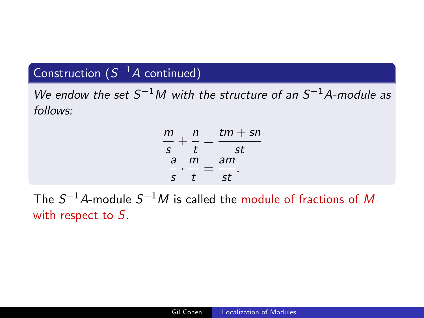# Construction  $(S^{-1}A$  continued)

We endow the set  $S^{-1}M$  with the structure of an  $S^{-1}A$ -module as follows:

| m | n | $tm + sn$ |
|---|---|-----------|
| S |   | st        |
| a | m | am        |
| S |   | Sl        |

The  $S^{-1}A$ -module  $S^{-1}M$  is called the module of fractions of  $M$ with respect to S.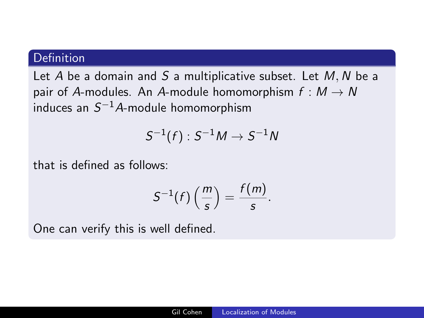## Definition

Let A be a domain and S a multiplicative subset. Let  $M, N$  be a pair of A-modules. An A-module homomorphism  $f : M \to N$ induces an  $S^{-1}A$ -module homomorphism

$$
\mathsf{S}^{-1}(f): \mathsf{S}^{-1}M \to \mathsf{S}^{-1}N
$$

that is defined as follows:

$$
S^{-1}(f)\left(\frac{m}{s}\right)=\frac{f(m)}{s}.
$$

One can verify this is well defined.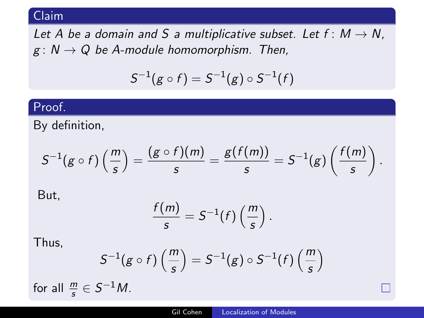Let A be a domain and S a multiplicative subset. Let  $f: M \rightarrow N$ ,  $g: N \to Q$  be A-module homomorphism. Then,

$$
S^{-1}(g \circ f) = S^{-1}(g) \circ S^{-1}(f)
$$

## Proof.

By definition,

$$
S^{-1}(g\circ f)\left(\frac{m}{s}\right)=\frac{(g\circ f)(m)}{s}=\frac{g(f(m))}{s}=S^{-1}(g)\left(\frac{f(m)}{s}\right).
$$

But,

$$
\frac{f(m)}{s}=S^{-1}(f)\left(\frac{m}{s}\right).
$$

Thus,

$$
S^{-1}(g \circ f)\left(\frac{m}{s}\right) = S^{-1}(g) \circ S^{-1}(f)\left(\frac{m}{s}\right)
$$

for all  $\frac{m}{s} \in S^{-1}M$ .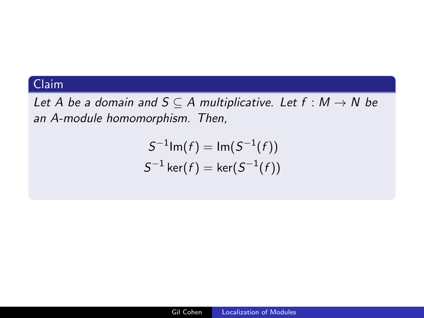Let A be a domain and  $S \subseteq A$  multiplicative. Let  $f : M \rightarrow N$  be an A-module homomorphism. Then,

$$
S^{-1} \text{Im}(f) = \text{Im}(S^{-1}(f))
$$
  

$$
S^{-1} \text{ker}(f) = \text{ker}(S^{-1}(f))
$$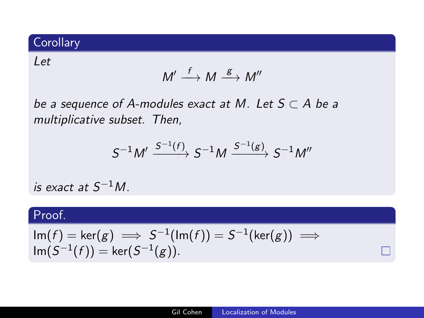# **Corollary**

#### Let

$$
M' \stackrel{f}{\longrightarrow} M \stackrel{g}{\longrightarrow} M''
$$

be a sequence of A-modules exact at M. Let  $S \subset A$  be a multiplicative subset. Then,

$$
S^{-1}M'\xrightarrow{S^{-1}(f)}S^{-1}M\xrightarrow{S^{-1}(g)}S^{-1}M''
$$

is exact at  $S^{-1}M$ .

## Proof.

$$
\operatorname{Im}(f) = \operatorname{ker}(g) \implies S^{-1}(\operatorname{Im}(f)) = S^{-1}(\operatorname{ker}(g)) \implies \operatorname{Im}(S^{-1}(f)) = \operatorname{ker}(S^{-1}(g)).
$$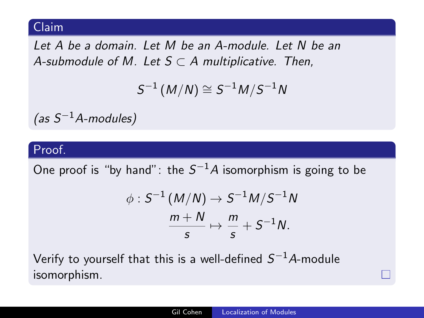Let A be a domain. Let M be an A-module. Let N be an A-submodule of M. Let  $S \subset A$  multiplicative. Then,

$$
S^{-1}(M/N) \cong S^{-1}M/S^{-1}N
$$

 $(as S^{-1}A$ -modules)

#### Proof.

One proof is "by hand": the  $\mathcal{S}^{-1}A$  isomorphism is going to be

$$
\phi: S^{-1}(M/N) \to S^{-1}M/S^{-1}N
$$

$$
\frac{m+N}{s} \mapsto \frac{m}{s} + S^{-1}N.
$$

Verify to yourself that this is a well-defined  $S^{-1}A\text{-module}$ isomorphism.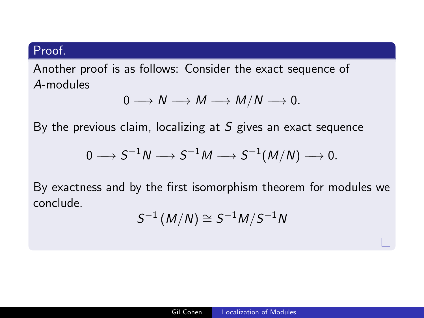Another proof is as follows: Consider the exact sequence of A-modules

$$
0 \longrightarrow N \longrightarrow M \longrightarrow M/N \longrightarrow 0.
$$

By the previous claim, localizing at  $S$  gives an exact sequence

$$
0\longrightarrow S^{-1}N\longrightarrow S^{-1}M\longrightarrow S^{-1}(M/N)\longrightarrow 0.
$$

By exactness and by the first isomorphism theorem for modules we conclude.

$$
S^{-1}(M/N)\cong S^{-1}M/S^{-1}N
$$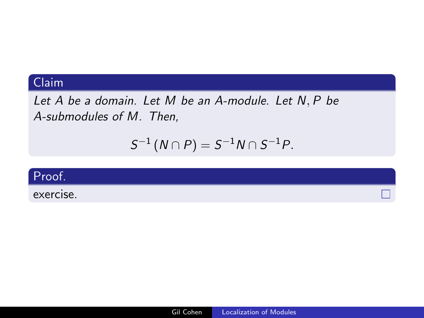Let  $A$  be a domain. Let  $M$  be an A-module. Let  $N, P$  be A-submodules of M. Then,

$$
S^{-1}(N \cap P) = S^{-1}N \cap S^{-1}P.
$$



exercise.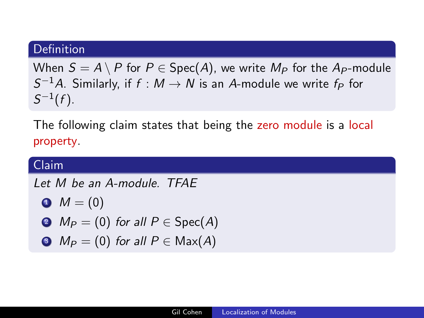#### **Definition**

When  $S = A \setminus P$  for  $P \in \text{Spec}(A)$ , we write  $M_P$  for the  $A_P$ -module  $\mathcal{S}^{-1}A$ . Similarly, if  $f:M\to N$  is an  $A$ -module we write  $f_P$  for  $S^{-1}(f)$ .

The following claim states that being the zero module is a local property.

# Claim Let M be an A-module. TFAE  $M = (0)$  $\bullet M_P = (0)$  for all  $P \in Spec(A)$  $\bullet$   $M_P = (0)$  for all  $P \in \text{Max}(A)$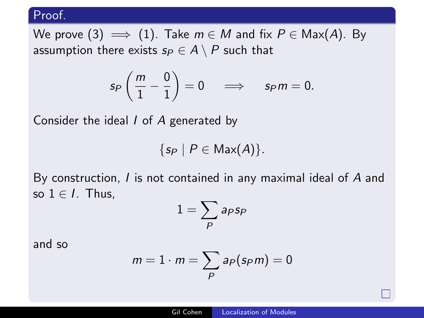We prove (3)  $\implies$  (1). Take  $m \in M$  and fix  $P \in \text{Max}(A)$ . By assumption there exists  $s_P \in A \setminus P$  such that

$$
s_P\left(\frac{m}{1}-\frac{0}{1}\right)=0\quad\Longrightarrow\quad s_Pm=0.
$$

Consider the ideal I of A generated by

$$
\{s_P \mid P \in \text{Max}(A)\}.
$$

By construction, I is not contained in any maximal ideal of A and so  $1 \in I$ . Thus,

$$
1=\sum_{P}\mathsf{a}_{P}\mathsf{s}_{P}
$$

and so

$$
m=1\cdot m=\sum_{P}a_{P}(s_{P}m)=0
$$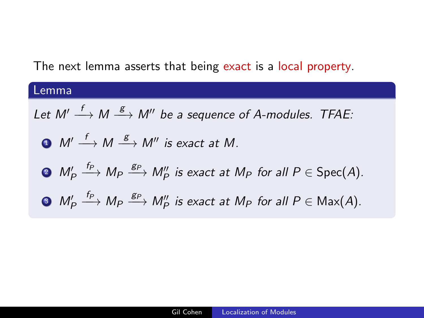## The next lemma asserts that being exact is a local property.

Lemma

\nLet 
$$
M' \xrightarrow{f} M \xrightarrow{g} M''
$$
 be a sequence of A-modules. TFAE:

\n•  $M' \xrightarrow{f} M \xrightarrow{g} M''$  is exact at M.

\n•  $M' \xrightarrow{f_P} M_P \xrightarrow{g_P} M''_P$  is exact at  $M_P$  for all  $P \in \text{Spec}(A)$ .

\n•  $M'_P \xrightarrow{f_P} M_P \xrightarrow{g_P} M''_P$  is exact at  $M_P$  for all  $P \in \text{Max}(A)$ .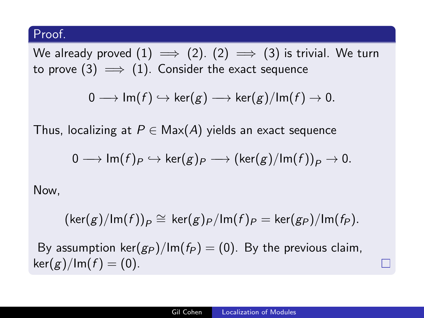We already proved  $(1) \implies (2)$ .  $(2) \implies (3)$  is trivial. We turn to prove (3)  $\implies$  (1). Consider the exact sequence

$$
0\longrightarrow\mathsf{Im}(f)\hookrightarrow \mathsf{ker}(g)\longrightarrow \mathsf{ker}(g)/\mathsf{Im}(f)\to 0.
$$

Thus, localizing at  $P \in Max(A)$  yields an exact sequence

$$
0\longrightarrow \mathsf{Im}(f)_{P}\hookrightarrow \mathsf{ker}(g)_{P}\longrightarrow (\mathsf{ker}(g)/\mathsf{Im}(f))_{P}\rightarrow 0.
$$

Now,

 $(\text{ker}(g)/\text{Im}(f))_P \cong \text{ker}(g)_P/\text{Im}(f)_P = \text{ker}(g_P)/\text{Im}(f_P).$ 

By assumption ker $(g_P)/Im(f_P) = (0)$ . By the previous claim,  $\ker(g)/\text{Im}(f) = (0).$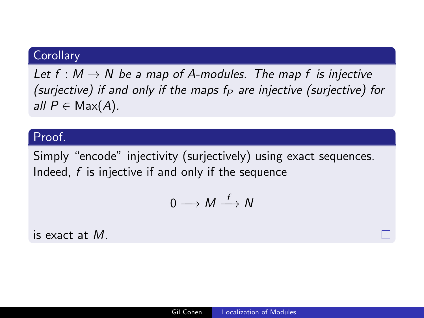## **Corollary**

Let  $f : M \to N$  be a map of A-modules. The map f is injective (surjective) if and only if the maps  $f_P$  are injective (surjective) for all  $P \in Max(A)$ .

#### Proof.

Simply "encode" injectivity (surjectively) using exact sequences. Indeed,  $f$  is injective if and only if the sequence

$$
0\longrightarrow M\stackrel{f}{\longrightarrow} N
$$

is exact at M.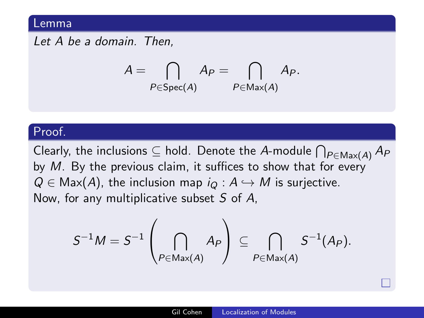#### Lemma

Let A be a domain. Then,

$$
A = \bigcap_{P \in \text{Spec}(A)} A_P = \bigcap_{P \in \text{Max}(A)} A_P.
$$

#### Proof.

Clearly, the inclusions  $\subseteq$  hold. Denote the  $A$ -module  $\bigcap_{P \in {\sf Max}(A)} A_P$ by M. By the previous claim, it suffices to show that for every  $Q \in \text{Max}(A)$ , the inclusion map  $i_Q : A \hookrightarrow M$  is surjective. Now, for any multiplicative subset  $S$  of  $A$ ,

$$
S^{-1}M=S^{-1}\left(\bigcap_{P\in\mathsf{Max}(A)}A_{P}\right)\subseteq\bigcap_{P\in\mathsf{Max}(A)}S^{-1}(A_{P}).
$$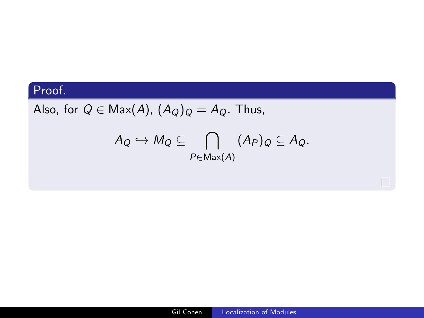Also, for  $Q \in \text{Max}(A)$ ,  $(A_Q)_Q = A_Q$ . Thus,

$$
A_Q \hookrightarrow M_Q \subseteq \bigcap_{P \in \text{Max}(A)} (A_P)_Q \subseteq A_Q.
$$

 $\Box$